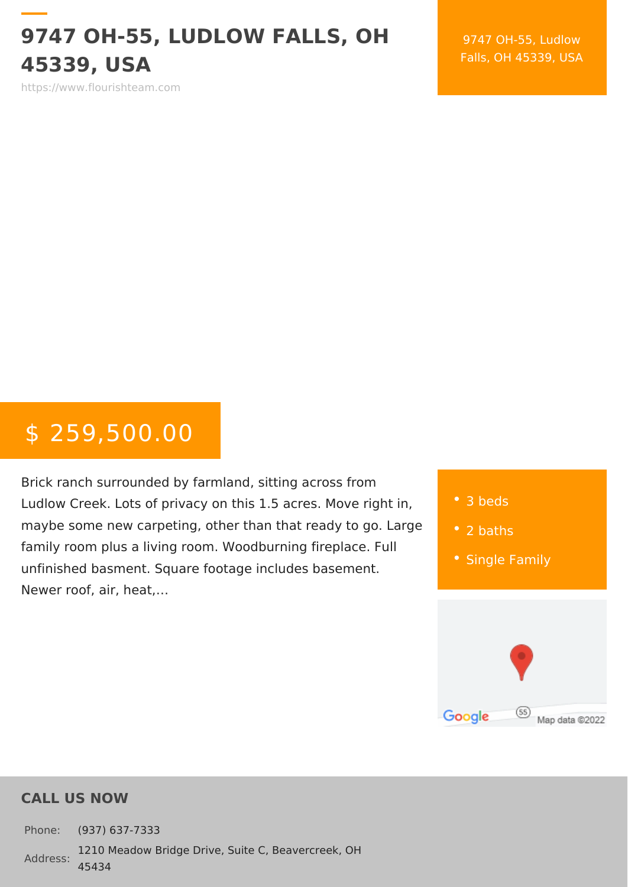## $9747$  OH-55, LUDLOW FALLS, 45339, USA

9747 OH-55, Ludl Falls,  $OH$  45339,

https://www.flourishteam.com

# $$ 259,500.$

Brick ranch surrounded by farmland, sitting ad Ludlow Creek. Lots of privacy on this 1.5 acre maybe some new carpeting, other than that re family room plus a living room. Woodburning f unfinished basment. Square footage includes Newer roof, air, heat, &

| $\bullet$ 3 beds  |
|-------------------|
| $\bullet$ 2 baths |
| • Single Family   |

#### CALL US NOW

Phone: (937) 637-7333 Address: 454341210 Meadow Bridge Drive, Suite C, Beavercreek, OH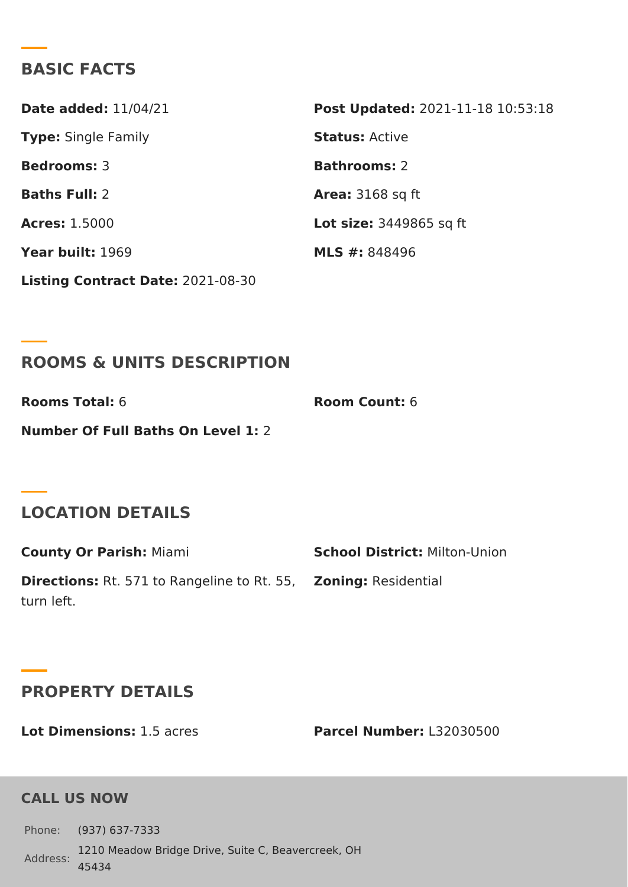### BASIC FACTS

| Date added: $1/04/21$           | Post Update @021-11-18 10:53:18 |
|---------------------------------|---------------------------------|
| Type Single Family              | StatusActive                    |
| Bedrooms3                       | Bathrooms2                      |
| Baths Ful <sub>2</sub> :        | Area: $3168$ sq ft              |
| Acres: 1.5000                   | $Lot$ size $3449865$ sq ft      |
| Year build:969                  | MLS #:848496                    |
| Listing Contract $D&D@:1-08-30$ |                                 |

#### ROOMS & UNITS DESCRIPTION

Rooms Tota6: Room Coun6: Number Of Full Baths On Level 1:

## LOCATION DETAILS

County Or Parishiami School Distriction-Union Direction Rt. 571 to Rangeline to ZRen. in 55, Residential turn left.

#### PROPERTY DETAILS

Lot Dimension1s.:5 acres Parcel Numbelr32030500

#### CALL US NOW

```
Phone: (937) 637-7333
Address:
454341210 Meadow Bridge Drive, Suite C, Beavercreek, OH
```